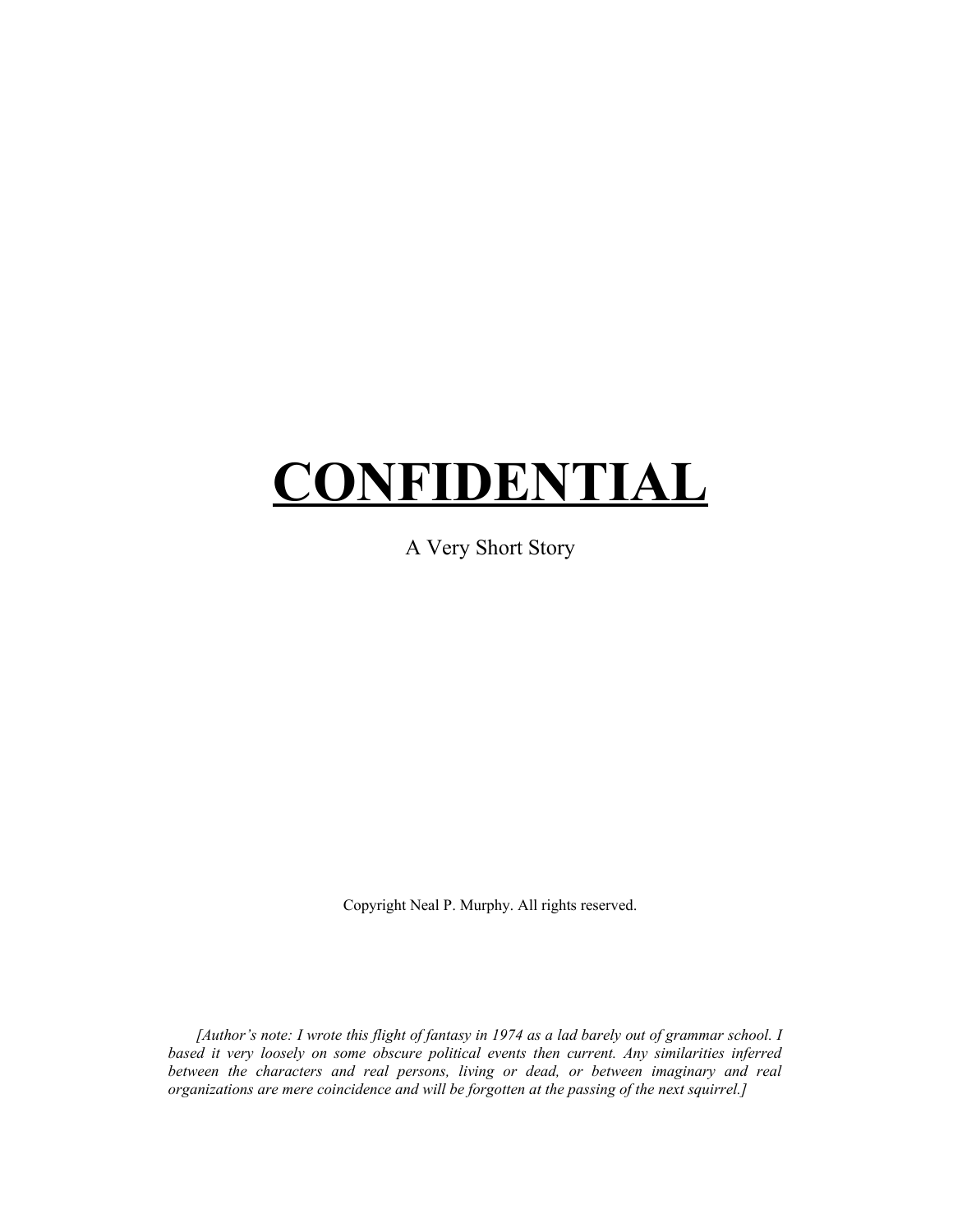## **CONFIDENTIAL**

A Very Short Story

Copyright Neal P. Murphy. All rights reserved.

*[Author's note: I wrote this flight of fantasy in 1974 as a lad barely out of grammar school. I based it very loosely on some obscure political events then current. Any similarities inferred between the characters and real persons, living or dead, or between imaginary and real organizations are mere coincidence and will be forgotten at the passing of the next squirrel.]*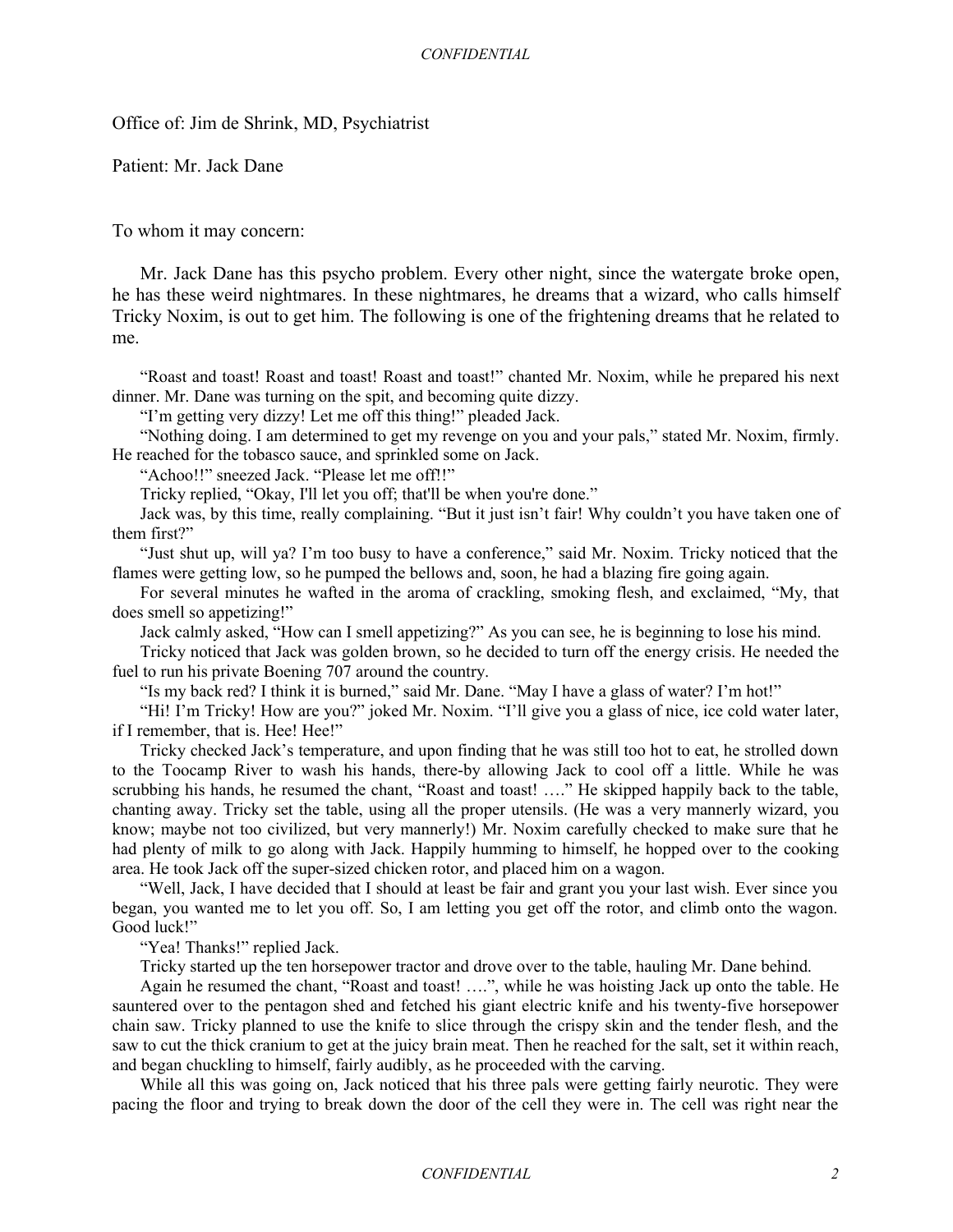Office of: Jim de Shrink, MD, Psychiatrist

Patient: Mr. Jack Dane

To whom it may concern:

Mr. Jack Dane has this psycho problem. Every other night, since the watergate broke open, he has these weird nightmares. In these nightmares, he dreams that a wizard, who calls himself Tricky Noxim, is out to get him. The following is one of the frightening dreams that he related to me.

"Roast and toast! Roast and toast! Roast and toast!" chanted Mr. Noxim, while he prepared his next dinner. Mr. Dane was turning on the spit, and becoming quite dizzy.

"I'm getting very dizzy! Let me off this thing!" pleaded Jack.

"Nothing doing. I am determined to get my revenge on you and your pals," stated Mr. Noxim, firmly. He reached for the tobasco sauce, and sprinkled some on Jack.

"Achoo!!" sneezed Jack. "Please let me off!!"

Tricky replied, "Okay, I'll let you off; that'll be when you're done."

Jack was, by this time, really complaining. "But it just isn't fair! Why couldn't you have taken one of them first?"

"Just shut up, will ya? I'm too busy to have a conference," said Mr. Noxim. Tricky noticed that the flames were getting low, so he pumped the bellows and, soon, he had a blazing fire going again.

For several minutes he wafted in the aroma of crackling, smoking flesh, and exclaimed, "My, that does smell so appetizing!"

Jack calmly asked, "How can I smell appetizing?" As you can see, he is beginning to lose his mind.

Tricky noticed that Jack was golden brown, so he decided to turn off the energy crisis. He needed the fuel to run his private Boening 707 around the country.

"Is my back red? I think it is burned," said Mr. Dane. "May I have a glass of water? I'm hot!"

"Hi! I'm Tricky! How are you?" joked Mr. Noxim. "I'll give you a glass of nice, ice cold water later, if I remember, that is. Hee! Hee!"

Tricky checked Jack's temperature, and upon finding that he was still too hot to eat, he strolled down to the Toocamp River to wash his hands, there-by allowing Jack to cool off a little. While he was scrubbing his hands, he resumed the chant, "Roast and toast! …." He skipped happily back to the table, chanting away. Tricky set the table, using all the proper utensils. (He was a very mannerly wizard, you know; maybe not too civilized, but very mannerly!) Mr. Noxim carefully checked to make sure that he had plenty of milk to go along with Jack. Happily humming to himself, he hopped over to the cooking area. He took Jack off the super-sized chicken rotor, and placed him on a wagon.

"Well, Jack, I have decided that I should at least be fair and grant you your last wish. Ever since you began, you wanted me to let you off. So, I am letting you get off the rotor, and climb onto the wagon. Good luck!"

"Yea! Thanks!" replied Jack.

Tricky started up the ten horsepower tractor and drove over to the table, hauling Mr. Dane behind.

Again he resumed the chant, "Roast and toast! ….", while he was hoisting Jack up onto the table. He sauntered over to the pentagon shed and fetched his giant electric knife and his twenty-five horsepower chain saw. Tricky planned to use the knife to slice through the crispy skin and the tender flesh, and the saw to cut the thick cranium to get at the juicy brain meat. Then he reached for the salt, set it within reach, and began chuckling to himself, fairly audibly, as he proceeded with the carving.

While all this was going on, Jack noticed that his three pals were getting fairly neurotic. They were pacing the floor and trying to break down the door of the cell they were in. The cell was right near the